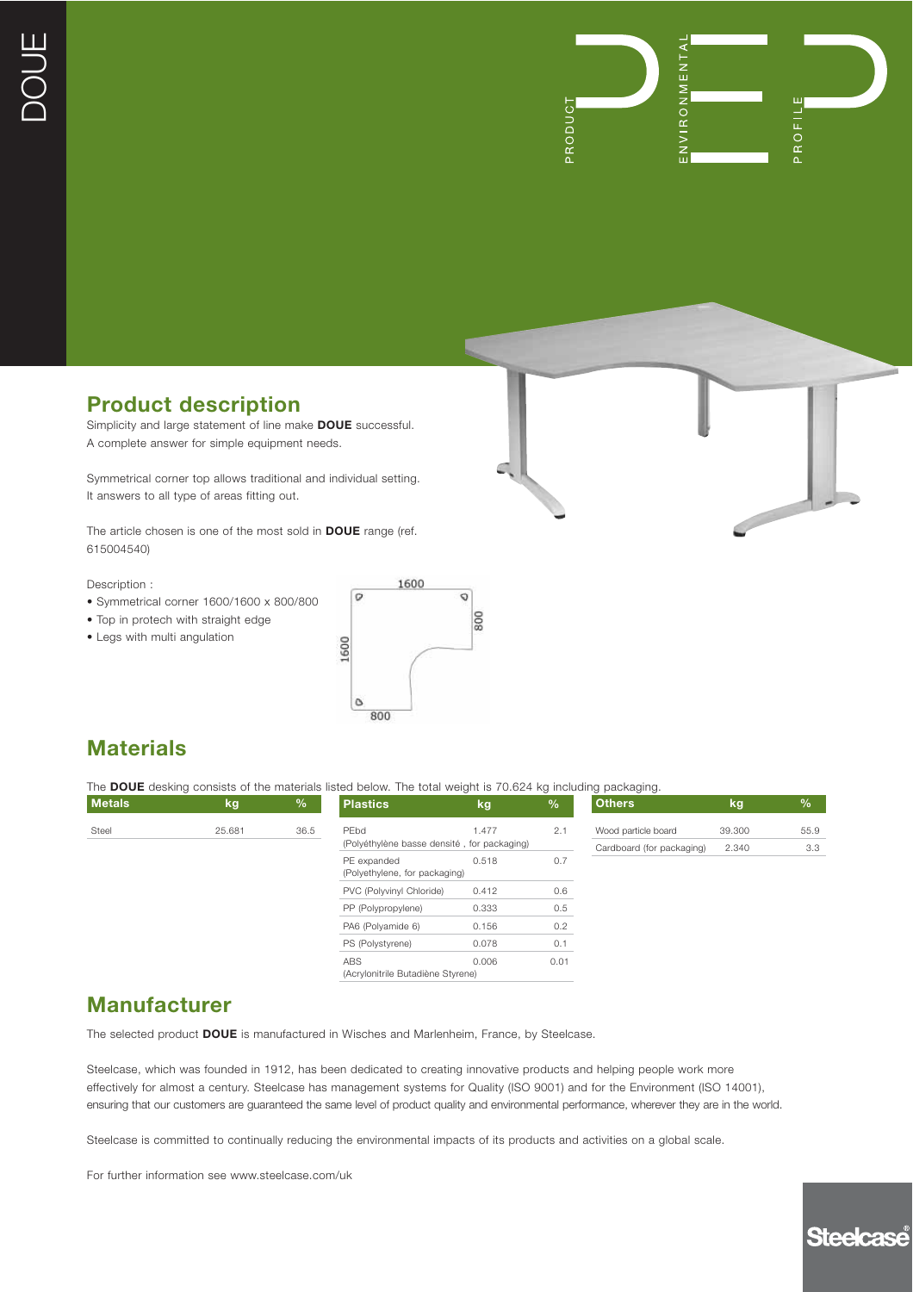

### **Product description**

Simplicity and large statement of line make **DOUE** successful. A complete answer for simple equipment needs.

Symmetrical corner top allows traditional and individual setting. It answers to all type of areas fitting out.

The article chosen is one of the most sold in **DOUE** range (ref. 615004540)

Description :

- Symmetrical corner 1600/1600 x 800/800
- Top in protech with straight edge
- Legs with multi angulation



# **Materials**

The **DOUE** desking consists of the materials listed below. The total weight is 70.624 kg including packaging.

| <b>Metals</b> | kg     | $\frac{1}{2}$ | <b>Plastics</b>                                     | kg    | $\frac{9}{6}$ | <b>Others</b>             | kg     | $\frac{0}{0}$ |
|---------------|--------|---------------|-----------------------------------------------------|-------|---------------|---------------------------|--------|---------------|
| Steel         | 25.681 | 36.5          | PEbd<br>(Polyéthylène basse densité, for packaging) | 1.477 | 2.1           | Wood particle board       | 39.300 | 55.9          |
|               |        |               | PE expanded<br>(Polyethylene, for packaging)        | 0.518 | 0.7           | Cardboard (for packaging) | 2.340  | 3.3           |
|               |        |               | PVC (Polyvinyl Chloride)                            | 0.412 | 0.6           |                           |        |               |
|               |        |               | PP (Polypropylene)                                  | 0.333 | 0.5           |                           |        |               |
|               |        |               | PA6 (Polyamide 6)                                   | 0.156 | 0.2           |                           |        |               |
|               |        |               | PS (Polystyrene)                                    | 0.078 | 0.1           |                           |        |               |
|               |        |               | <b>ABS</b><br>(Acrylonitrile Butadiène Styrene)     | 0.006 | 0.01          |                           |        |               |

#### **Manufacturer**

The selected product **DOUE** is manufactured in Wisches and Marlenheim, France, by Steelcase.

Steelcase, which was founded in 1912, has been dedicated to creating innovative products and helping people work more effectively for almost a century. Steelcase has management systems for Quality (ISO 9001) and for the Environment (ISO 14001), ensuring that our customers are guaranteed the same level of product quality and environmental performance, wherever they are in the world.

Steelcase is committed to continually reducing the environmental impacts of its products and activities on a global scale.

For further information see www.steelcase.com/uk